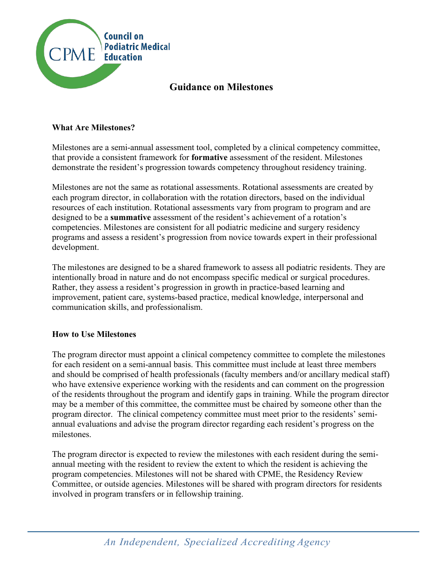

# **Guidance on Milestones**

## **What Are Milestones?**

Milestones are a semi-annual assessment tool, completed by a clinical competency committee, that provide a consistent framework for **formative** assessment of the resident. Milestones demonstrate the resident's progression towards competency throughout residency training.

Milestones are not the same as rotational assessments. Rotational assessments are created by each program director, in collaboration with the rotation directors, based on the individual resources of each institution. Rotational assessments vary from program to program and are designed to be a **summative** assessment of the resident's achievement of a rotation's competencies. Milestones are consistent for all podiatric medicine and surgery residency programs and assess a resident's progression from novice towards expert in their professional development.

The milestones are designed to be a shared framework to assess all podiatric residents. They are intentionally broad in nature and do not encompass specific medical or surgical procedures. Rather, they assess a resident's progression in growth in practice-based learning and improvement, patient care, systems-based practice, medical knowledge, interpersonal and communication skills, and professionalism.

#### **How to Use Milestones**

The program director must appoint a clinical competency committee to complete the milestones for each resident on a semi-annual basis. This committee must include at least three members and should be comprised of health professionals (faculty members and/or ancillary medical staff) who have extensive experience working with the residents and can comment on the progression of the residents throughout the program and identify gaps in training. While the program director may be a member of this committee, the committee must be chaired by someone other than the program director. The clinical competency committee must meet prior to the residents' semiannual evaluations and advise the program director regarding each resident's progress on the milestones.

The program director is expected to review the milestones with each resident during the semiannual meeting with the resident to review the extent to which the resident is achieving the program competencies. Milestones will not be shared with CPME, the Residency Review Committee, or outside agencies. Milestones will be shared with program directors for residents involved in program transfers or in fellowship training.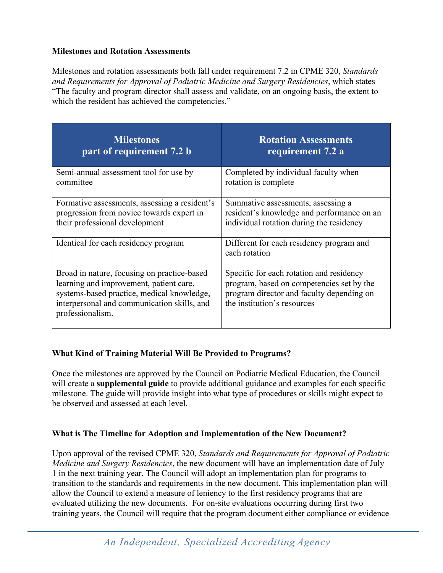## **Milestones and Rotation Assessments**

Milestones and rotation assessments both fall under requirement 7.2 in CPME 320, *Standards and Requirements for Approval of Podiatric Medicine and Surgery Residencies*, which states "The faculty and program director shall assess and validate, on an ongoing basis, the extent to which the resident has achieved the competencies."

| <b>Milestones</b>                                                                                                                                                                                       | <b>Rotation Assessments</b>                                                                                                                                       |
|---------------------------------------------------------------------------------------------------------------------------------------------------------------------------------------------------------|-------------------------------------------------------------------------------------------------------------------------------------------------------------------|
| part of requirement 7.2 b                                                                                                                                                                               | requirement 7.2 a                                                                                                                                                 |
| Semi-annual assessment tool for use by                                                                                                                                                                  | Completed by individual faculty when                                                                                                                              |
| committee                                                                                                                                                                                               | rotation is complete                                                                                                                                              |
| Formative assessments, assessing a resident's                                                                                                                                                           | Summative assessments, assessing a                                                                                                                                |
| progression from novice towards expert in                                                                                                                                                               | resident's knowledge and performance on an                                                                                                                        |
| their professional development                                                                                                                                                                          | individual rotation during the residency                                                                                                                          |
| Identical for each residency program                                                                                                                                                                    | Different for each residency program and<br>each rotation                                                                                                         |
| Broad in nature, focusing on practice-based<br>learning and improvement, patient care,<br>systems-based practice, medical knowledge,<br>interpersonal and communication skills, and<br>professionalism. | Specific for each rotation and residency<br>program, based on competencies set by the<br>program director and faculty depending on<br>the institution's resources |

# **What Kind of Training Material Will Be Provided to Programs?**

Once the milestones are approved by the Council on Podiatric Medical Education, the Council will create a **supplemental guide** to provide additional guidance and examples for each specific milestone. The guide will provide insight into what type of procedures or skills might expect to be observed and assessed at each level.

#### **What is The Timeline for Adoption and Implementation of the New Document?**

Upon approval of the revised CPME 320, *Standards and Requirements for Approval of Podiatric Medicine and Surgery Residencies*, the new document will have an implementation date of July 1 in the next training year. The Council will adopt an implementation plan for programs to transition to the standards and requirements in the new document. This implementation plan will allow the Council to extend a measure of leniency to the first residency programs that are evaluated utilizing the new documents. For on-site evaluations occurring during first two training years, the Council will require that the program document either compliance or evidence